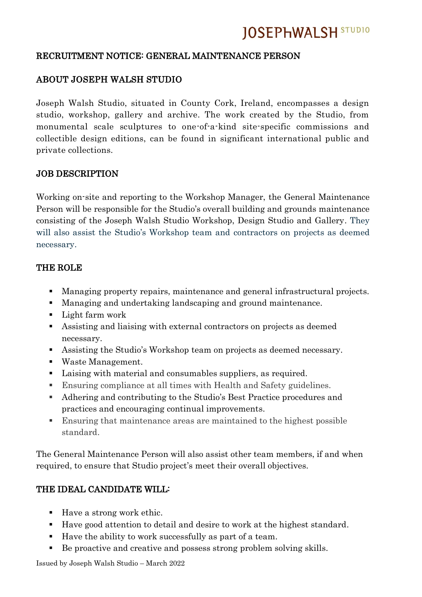# **JOSEPHWALSH STUDIO**

#### RECRUITMENT NOTICE: GENERAL MAINTENANCE PERSON

### ABOUT JOSEPH WALSH STUDIO

Joseph Walsh Studio, situated in County Cork, Ireland, encompasses a design studio, workshop, gallery and archive. The work created by the Studio, from monumental scale sculptures to one-of-a-kind site-specific commissions and collectible design editions, can be found in significant international public and private collections.

#### JOB DESCRIPTION

Working on-site and reporting to the Workshop Manager, the General Maintenance Person will be responsible for the Studio's overall building and grounds maintenance consisting of the Joseph Walsh Studio Workshop, Design Studio and Gallery. They will also assist the Studio's Workshop team and contractors on projects as deemed necessary.

#### THE ROLE

- Managing property repairs, maintenance and general infrastructural projects.
- Managing and undertaking landscaping and ground maintenance.
- Light farm work
- Assisting and liaising with external contractors on projects as deemed necessary.
- Assisting the Studio's Workshop team on projects as deemed necessary.
- Waste Management.
- Laising with material and consumables suppliers, as required.
- Ensuring compliance at all times with Health and Safety guidelines.
- Adhering and contributing to the Studio's Best Practice procedures and practices and encouraging continual improvements.
- Ensuring that maintenance areas are maintained to the highest possible standard.

The General Maintenance Person will also assist other team members, if and when required, to ensure that Studio project's meet their overall objectives.

### THE IDEAL CANDIDATE WILL:

- Have a strong work ethic.
- Have good attention to detail and desire to work at the highest standard.
- Have the ability to work successfully as part of a team.
- Be proactive and creative and possess strong problem solving skills.

Issued by Joseph Walsh Studio – March 2022